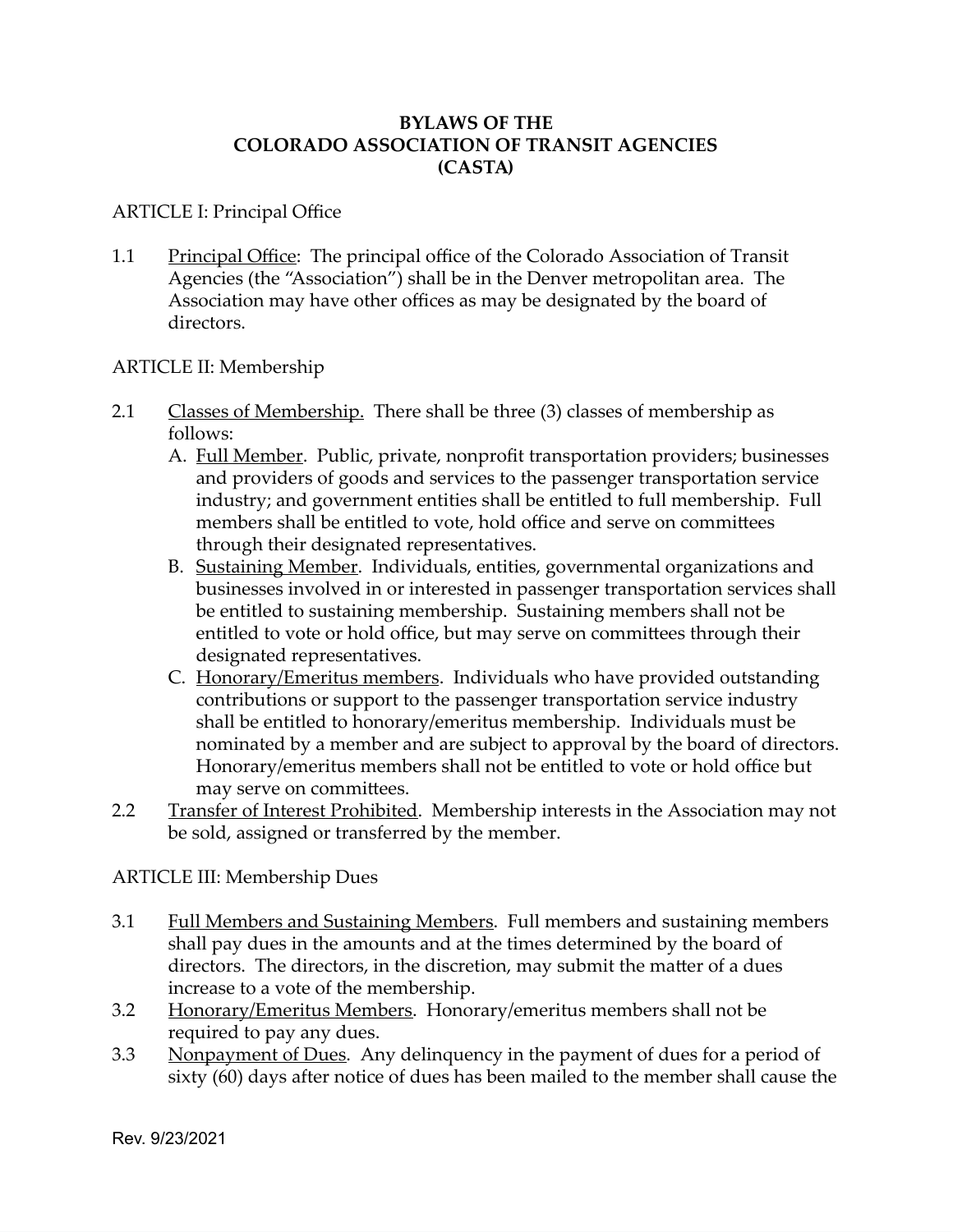#### **BYLAWS OF THE COLORADO ASSOCIATION OF TRANSIT AGENCIES (CASTA)**

#### ARTICLE I: Principal Office

1.1 Principal Office: The principal office of the Colorado Association of Transit Agencies (the "Association") shall be in the Denver metropolitan area. The Association may have other offices as may be designated by the board of directors.

#### ARTICLE II: Membership

- 2.1 Classes of Membership. There shall be three (3) classes of membership as follows:
	- A. Full Member. Public, private, nonprofit transportation providers; businesses and providers of goods and services to the passenger transportation service industry; and government entities shall be entitled to full membership. Full members shall be entitled to vote, hold office and serve on committees through their designated representatives.
	- B. Sustaining Member. Individuals, entities, governmental organizations and businesses involved in or interested in passenger transportation services shall be entitled to sustaining membership. Sustaining members shall not be entitled to vote or hold office, but may serve on committees through their designated representatives.
	- C. Honorary/Emeritus members. Individuals who have provided outstanding contributions or support to the passenger transportation service industry shall be entitled to honorary/emeritus membership. Individuals must be nominated by a member and are subject to approval by the board of directors. Honorary/emeritus members shall not be entitled to vote or hold office but may serve on committees.
- 2.2 Transfer of Interest Prohibited. Membership interests in the Association may not be sold, assigned or transferred by the member.

# ARTICLE III: Membership Dues

- 3.1 Full Members and Sustaining Members. Full members and sustaining members shall pay dues in the amounts and at the times determined by the board of directors. The directors, in the discretion, may submit the matter of a dues increase to a vote of the membership.
- 3.2 Honorary/Emeritus Members. Honorary/emeritus members shall not be required to pay any dues.
- 3.3 Nonpayment of Dues. Any delinquency in the payment of dues for a period of sixty (60) days after notice of dues has been mailed to the member shall cause the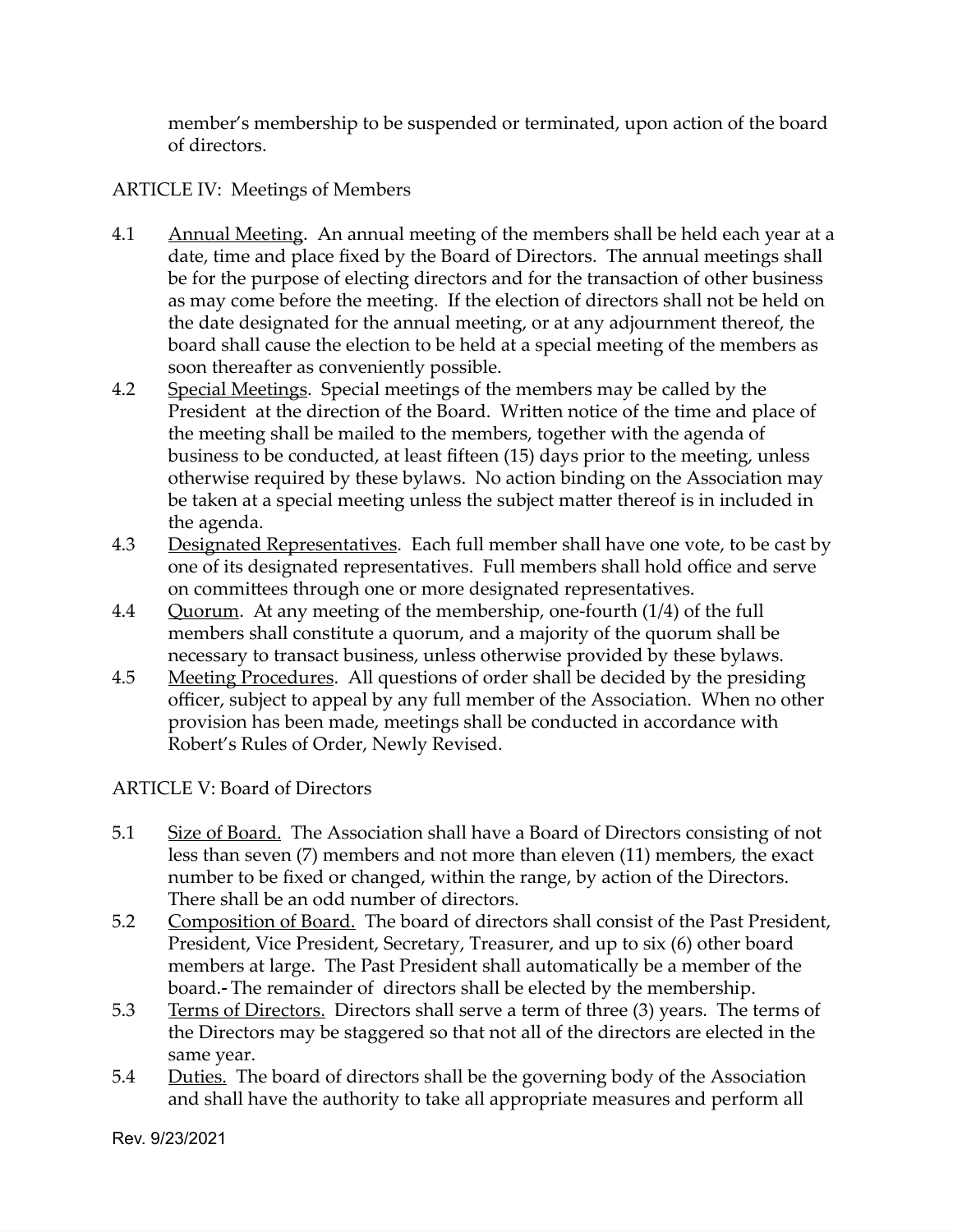member's membership to be suspended or terminated, upon action of the board of directors.

# ARTICLE IV: Meetings of Members

- 4.1 Annual Meeting. An annual meeting of the members shall be held each year at a date, time and place fixed by the Board of Directors. The annual meetings shall be for the purpose of electing directors and for the transaction of other business as may come before the meeting. If the election of directors shall not be held on the date designated for the annual meeting, or at any adjournment thereof, the board shall cause the election to be held at a special meeting of the members as soon thereafter as conveniently possible.
- 4.2 Special Meetings. Special meetings of the members may be called by the President at the direction of the Board. Written notice of the time and place of the meeting shall be mailed to the members, together with the agenda of business to be conducted, at least fifteen (15) days prior to the meeting, unless otherwise required by these bylaws. No action binding on the Association may be taken at a special meeting unless the subject matter thereof is in included in the agenda.
- 4.3 Designated Representatives. Each full member shall have one vote, to be cast by one of its designated representatives. Full members shall hold office and serve on committees through one or more designated representatives.
- 4.4 Quorum. At any meeting of the membership, one-fourth (1/4) of the full members shall constitute a quorum, and a majority of the quorum shall be necessary to transact business, unless otherwise provided by these bylaws.
- 4.5 Meeting Procedures. All questions of order shall be decided by the presiding officer, subject to appeal by any full member of the Association. When no other provision has been made, meetings shall be conducted in accordance with Robert's Rules of Order, Newly Revised.

# ARTICLE V: Board of Directors

- 5.1 Size of Board. The Association shall have a Board of Directors consisting of not less than seven (7) members and not more than eleven (11) members, the exact number to be fixed or changed, within the range, by action of the Directors. There shall be an odd number of directors.
- 5.2 Composition of Board. The board of directors shall consist of the Past President, President, Vice President, Secretary, Treasurer, and up to six (6) other board members at large. The Past President shall automatically be a member of the board. The remainder of directors shall be elected by the membership.
- 5.3 Terms of Directors. Directors shall serve a term of three (3) years. The terms of the Directors may be staggered so that not all of the directors are elected in the same year.
- 5.4 Duties. The board of directors shall be the governing body of the Association and shall have the authority to take all appropriate measures and perform all

Rev. 9/23/2021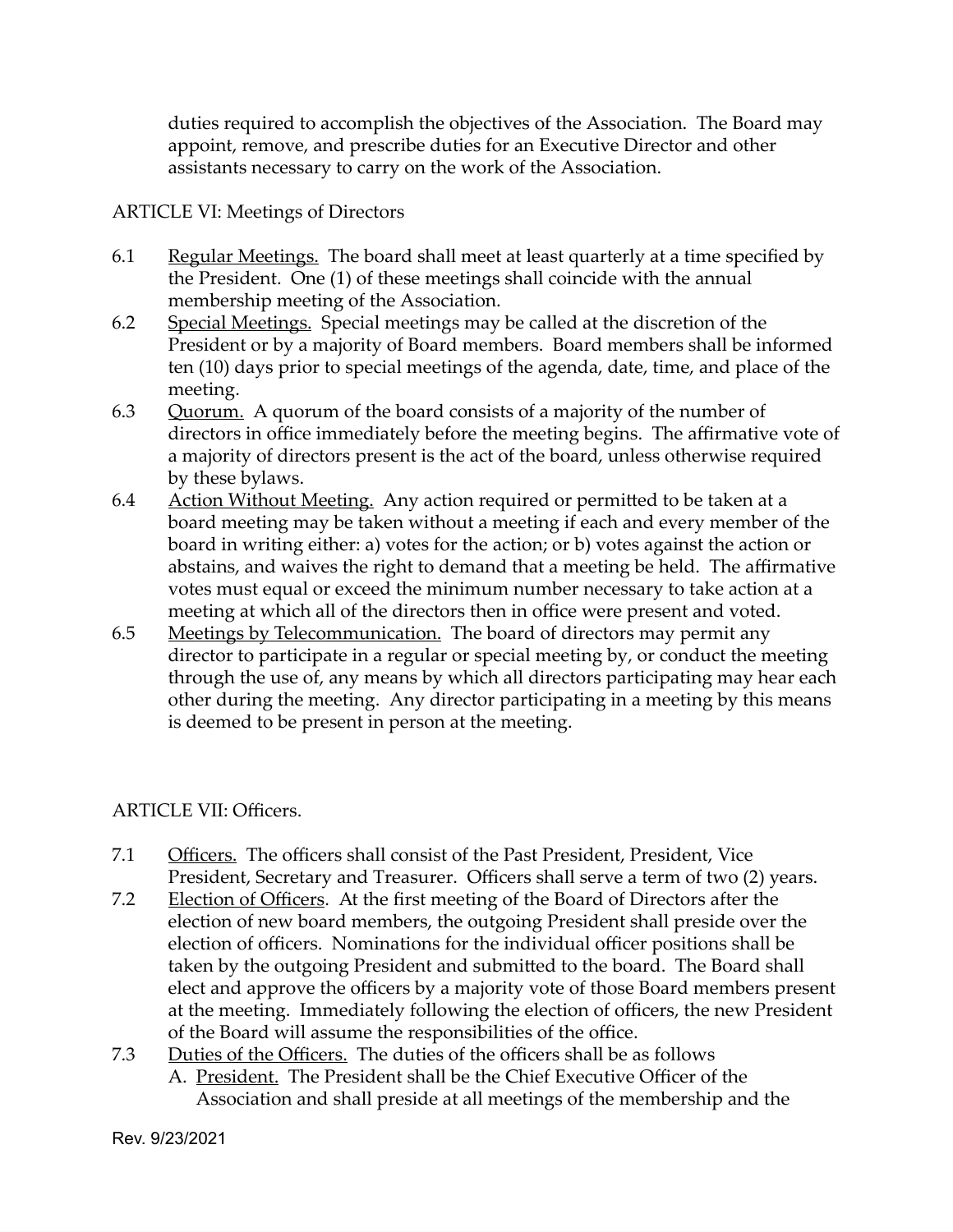duties required to accomplish the objectives of the Association. The Board may appoint, remove, and prescribe duties for an Executive Director and other assistants necessary to carry on the work of the Association.

# ARTICLE VI: Meetings of Directors

- 6.1 Regular Meetings. The board shall meet at least quarterly at a time specified by the President. One (1) of these meetings shall coincide with the annual membership meeting of the Association.
- 6.2 Special Meetings. Special meetings may be called at the discretion of the President or by a majority of Board members. Board members shall be informed ten (10) days prior to special meetings of the agenda, date, time, and place of the meeting.
- 6.3 Quorum. A quorum of the board consists of a majority of the number of directors in office immediately before the meeting begins. The affirmative vote of a majority of directors present is the act of the board, unless otherwise required by these bylaws.
- 6.4 Action Without Meeting. Any action required or permitted to be taken at a board meeting may be taken without a meeting if each and every member of the board in writing either: a) votes for the action; or b) votes against the action or abstains, and waives the right to demand that a meeting be held. The affirmative votes must equal or exceed the minimum number necessary to take action at a meeting at which all of the directors then in office were present and voted.
- 6.5 Meetings by Telecommunication. The board of directors may permit any director to participate in a regular or special meeting by, or conduct the meeting through the use of, any means by which all directors participating may hear each other during the meeting. Any director participating in a meeting by this means is deemed to be present in person at the meeting.

# ARTICLE VII: Officers.

- 7.1 Officers. The officers shall consist of the Past President, President, Vice President, Secretary and Treasurer. Officers shall serve a term of two (2) years.
- 7.2 Election of Officers. At the first meeting of the Board of Directors after the election of new board members, the outgoing President shall preside over the election of officers. Nominations for the individual officer positions shall be taken by the outgoing President and submitted to the board. The Board shall elect and approve the officers by a majority vote of those Board members present at the meeting. Immediately following the election of officers, the new President of the Board will assume the responsibilities of the office.
- 7.3 Duties of the Officers. The duties of the officers shall be as follows A. President. The President shall be the Chief Executive Officer of the Association and shall preside at all meetings of the membership and the

Rev. 9/23/2021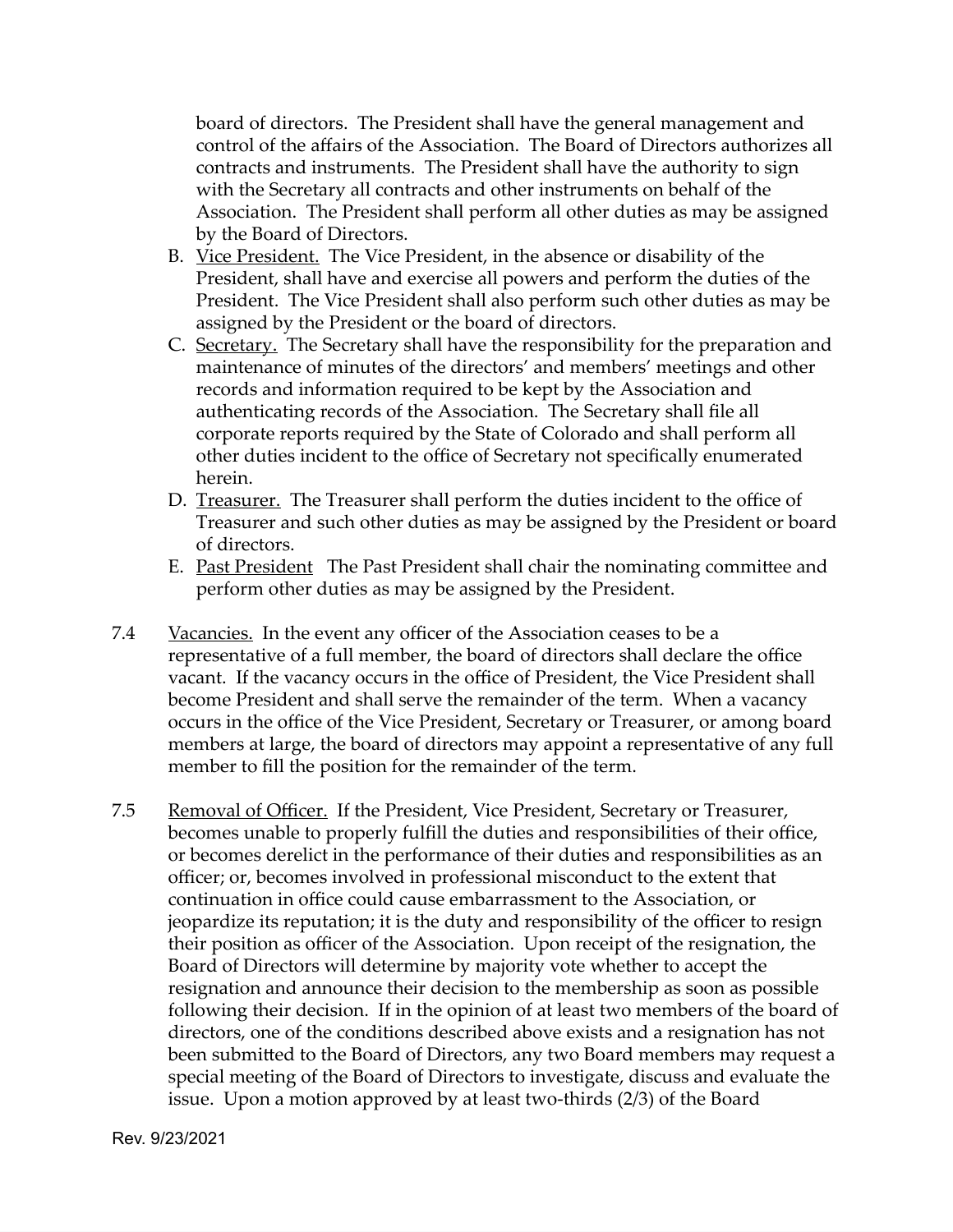board of directors. The President shall have the general management and control of the affairs of the Association. The Board of Directors authorizes all contracts and instruments. The President shall have the authority to sign with the Secretary all contracts and other instruments on behalf of the Association. The President shall perform all other duties as may be assigned by the Board of Directors.

- B. Vice President. The Vice President, in the absence or disability of the President, shall have and exercise all powers and perform the duties of the President. The Vice President shall also perform such other duties as may be assigned by the President or the board of directors.
- C. Secretary. The Secretary shall have the responsibility for the preparation and maintenance of minutes of the directors' and members' meetings and other records and information required to be kept by the Association and authenticating records of the Association. The Secretary shall file all corporate reports required by the State of Colorado and shall perform all other duties incident to the office of Secretary not specifically enumerated herein.
- D. Treasurer. The Treasurer shall perform the duties incident to the office of Treasurer and such other duties as may be assigned by the President or board of directors.
- E. Past President The Past President shall chair the nominating committee and perform other duties as may be assigned by the President.
- 7.4 Vacancies. In the event any officer of the Association ceases to be a representative of a full member, the board of directors shall declare the office vacant. If the vacancy occurs in the office of President, the Vice President shall become President and shall serve the remainder of the term. When a vacancy occurs in the office of the Vice President, Secretary or Treasurer, or among board members at large, the board of directors may appoint a representative of any full member to fill the position for the remainder of the term.
- 7.5 Removal of Officer. If the President, Vice President, Secretary or Treasurer, becomes unable to properly fulfill the duties and responsibilities of their office, or becomes derelict in the performance of their duties and responsibilities as an officer; or, becomes involved in professional misconduct to the extent that continuation in office could cause embarrassment to the Association, or jeopardize its reputation; it is the duty and responsibility of the officer to resign their position as officer of the Association. Upon receipt of the resignation, the Board of Directors will determine by majority vote whether to accept the resignation and announce their decision to the membership as soon as possible following their decision. If in the opinion of at least two members of the board of directors, one of the conditions described above exists and a resignation has not been submitted to the Board of Directors, any two Board members may request a special meeting of the Board of Directors to investigate, discuss and evaluate the issue. Upon a motion approved by at least two-thirds (2/3) of the Board

Rev. 9/23/2021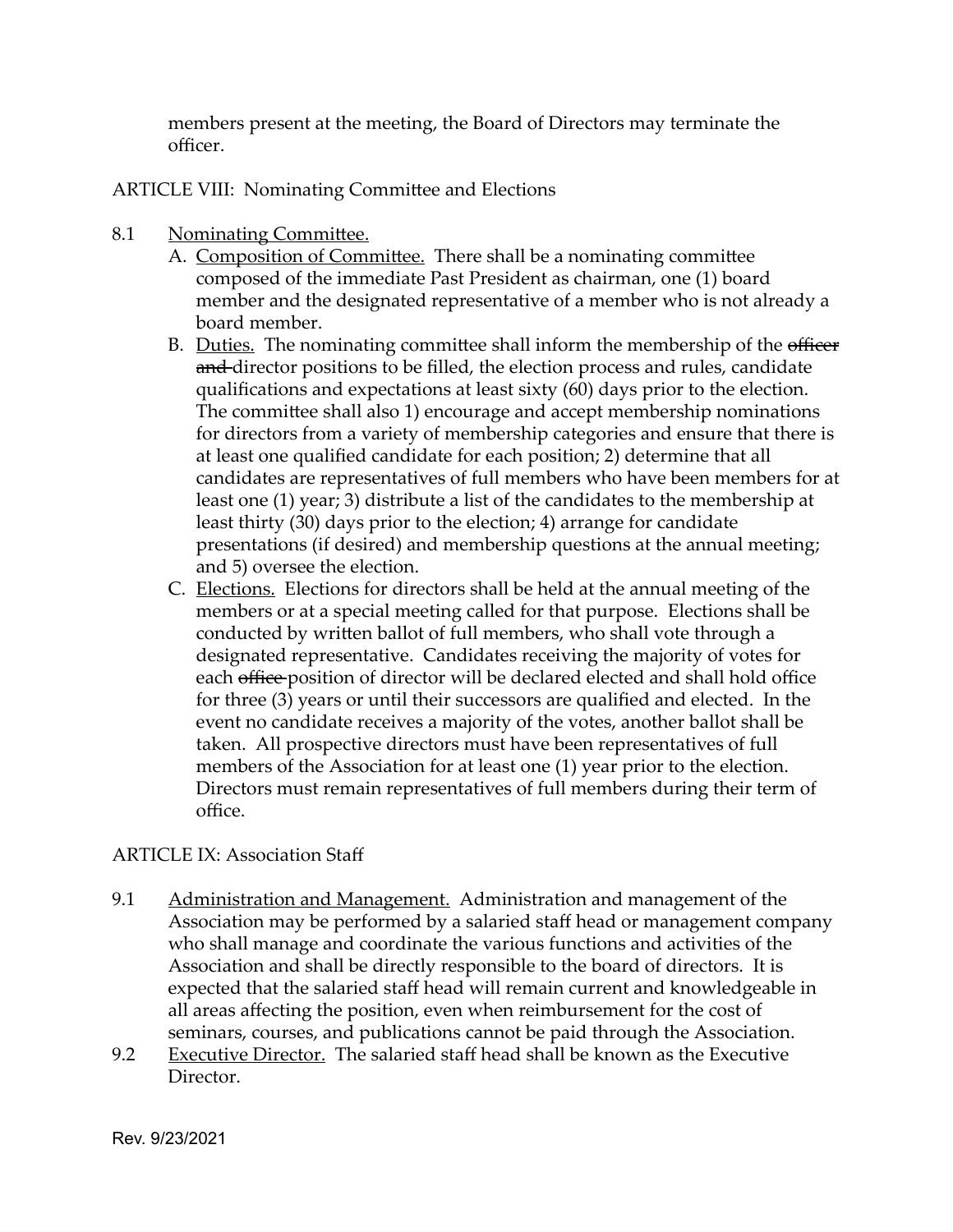members present at the meeting, the Board of Directors may terminate the officer.

ARTICLE VIII: Nominating Committee and Elections

- 8.1 Nominating Committee.
	- A. Composition of Committee. There shall be a nominating committee composed of the immediate Past President as chairman, one (1) board member and the designated representative of a member who is not already a board member.
	- B. Duties. The nominating committee shall inform the membership of the officer and-director positions to be filled, the election process and rules, candidate qualifications and expectations at least sixty (60) days prior to the election. The committee shall also 1) encourage and accept membership nominations for directors from a variety of membership categories and ensure that there is at least one qualified candidate for each position; 2) determine that all candidates are representatives of full members who have been members for at least one (1) year; 3) distribute a list of the candidates to the membership at least thirty (30) days prior to the election; 4) arrange for candidate presentations (if desired) and membership questions at the annual meeting; and 5) oversee the election.
	- C. Elections. Elections for directors shall be held at the annual meeting of the members or at a special meeting called for that purpose. Elections shall be conducted by written ballot of full members, who shall vote through a designated representative. Candidates receiving the majority of votes for each <del>office</del>-position of director will be declared elected and shall hold office for three (3) years or until their successors are qualified and elected. In the event no candidate receives a majority of the votes, another ballot shall be taken. All prospective directors must have been representatives of full members of the Association for at least one (1) year prior to the election. Directors must remain representatives of full members during their term of office.

# ARTICLE IX: Association Staff

- 9.1 Administration and Management. Administration and management of the Association may be performed by a salaried staff head or management company who shall manage and coordinate the various functions and activities of the Association and shall be directly responsible to the board of directors. It is expected that the salaried staff head will remain current and knowledgeable in all areas affecting the position, even when reimbursement for the cost of seminars, courses, and publications cannot be paid through the Association.
- 9.2 Executive Director. The salaried staff head shall be known as the Executive Director.